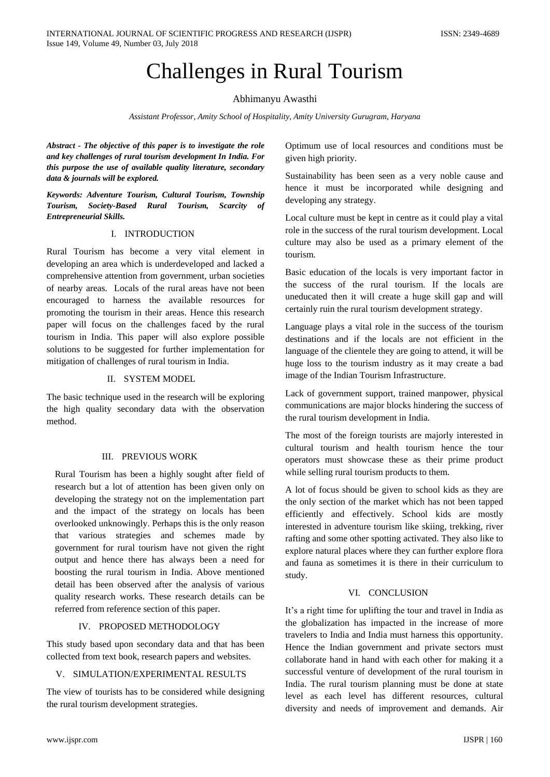# Challenges in Rural Tourism

#### Abhimanyu Awasthi

*Assistant Professor, Amity School of Hospitality, Amity University Gurugram, Haryana*

*Abstract - The objective of this paper is to investigate the role and key challenges of rural tourism development In India. For this purpose the use of available quality literature, secondary data & journals will be explored.* 

*Keywords: Adventure Tourism, Cultural Tourism, Township Tourism, Society-Based Rural Tourism, Scarcity of Entrepreneurial Skills.*

#### I. INTRODUCTION

Rural Tourism has become a very vital element in developing an area which is underdeveloped and lacked a comprehensive attention from government, urban societies of nearby areas. Locals of the rural areas have not been encouraged to harness the available resources for promoting the tourism in their areas. Hence this research paper will focus on the challenges faced by the rural tourism in India. This paper will also explore possible solutions to be suggested for further implementation for mitigation of challenges of rural tourism in India.

## II. SYSTEM MODEL

The basic technique used in the research will be exploring the high quality secondary data with the observation method.

## III. PREVIOUS WORK

Rural Tourism has been a highly sought after field of research but a lot of attention has been given only on developing the strategy not on the implementation part and the impact of the strategy on locals has been overlooked unknowingly. Perhaps this is the only reason that various strategies and schemes made by government for rural tourism have not given the right output and hence there has always been a need for boosting the rural tourism in India. Above mentioned detail has been observed after the analysis of various quality research works. These research details can be referred from reference section of this paper.

## IV. PROPOSED METHODOLOGY

This study based upon secondary data and that has been collected from text book, research papers and websites.

## V. SIMULATION/EXPERIMENTAL RESULTS

The view of tourists has to be considered while designing the rural tourism development strategies.

Optimum use of local resources and conditions must be given high priority.

Sustainability has been seen as a very noble cause and hence it must be incorporated while designing and developing any strategy.

Local culture must be kept in centre as it could play a vital role in the success of the rural tourism development. Local culture may also be used as a primary element of the tourism.

Basic education of the locals is very important factor in the success of the rural tourism. If the locals are uneducated then it will create a huge skill gap and will certainly ruin the rural tourism development strategy.

Language plays a vital role in the success of the tourism destinations and if the locals are not efficient in the language of the clientele they are going to attend, it will be huge loss to the tourism industry as it may create a bad image of the Indian Tourism Infrastructure.

Lack of government support, trained manpower, physical communications are major blocks hindering the success of the rural tourism development in India.

The most of the foreign tourists are majorly interested in cultural tourism and health tourism hence the tour operators must showcase these as their prime product while selling rural tourism products to them.

A lot of focus should be given to school kids as they are the only section of the market which has not been tapped efficiently and effectively. School kids are mostly interested in adventure tourism like skiing, trekking, river rafting and some other spotting activated. They also like to explore natural places where they can further explore flora and fauna as sometimes it is there in their curriculum to study.

## VI. CONCLUSION

It's a right time for uplifting the tour and travel in India as the globalization has impacted in the increase of more travelers to India and India must harness this opportunity. Hence the Indian government and private sectors must collaborate hand in hand with each other for making it a successful venture of development of the rural tourism in India. The rural tourism planning must be done at state level as each level has different resources, cultural diversity and needs of improvement and demands. Air